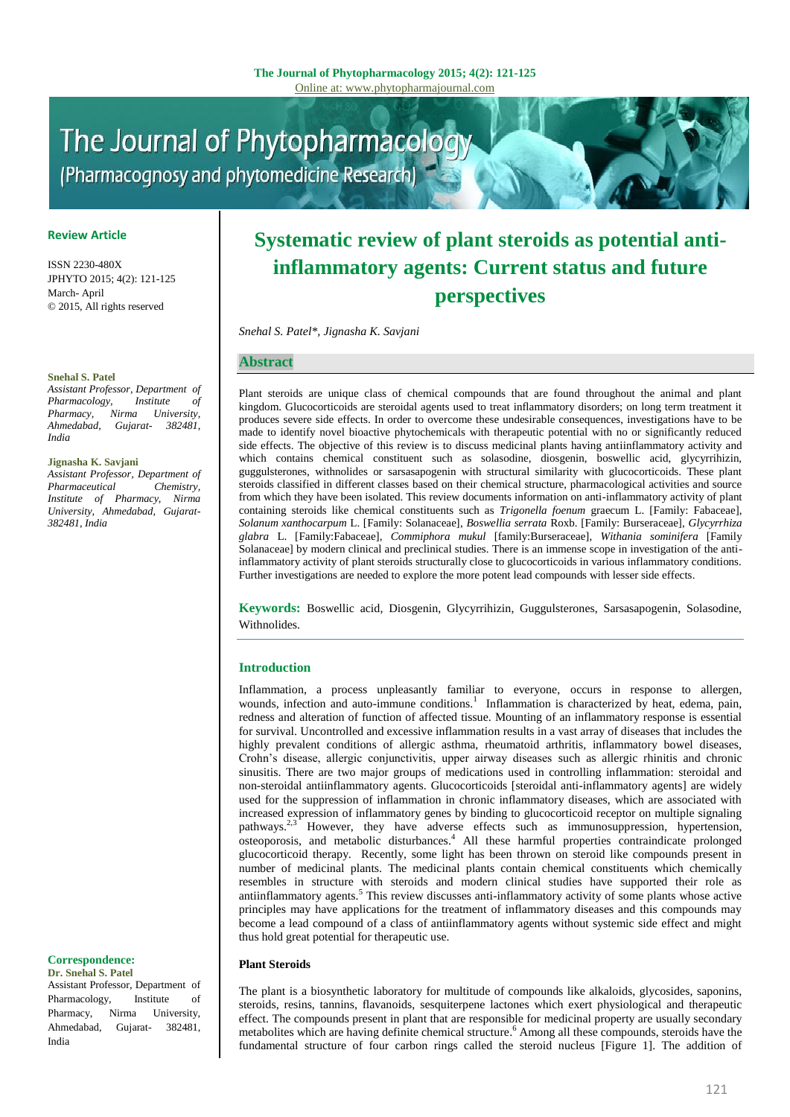# The Journal of Phytopharmacology (Pharmacognosy and phytomedicine Research)

### **Review Article**

ISSN 2230-480X JPHYTO 2015; 4(2): 121-125 March- April © 2015, All rights reserved

#### **Snehal S. Patel**

*Assistant Professor, Department of Pharmacology, Institute of Pharmacy, Nirma University, Ahmedabad, Gujarat- 382481, India* 

#### **Jignasha K. Savjani**

*Assistant Professor, Department of Pharmaceutical Chemistry, Institute of Pharmacy, Nirma University, Ahmedabad, Gujarat-382481, India* 

## **Systematic review of plant steroids as potential antiinflammatory agents: Current status and future perspectives**

*Snehal S. Patel\*, Jignasha K. Savjani*

#### **Abstract**

Plant steroids are unique class of chemical compounds that are found throughout the animal and plant kingdom. Glucocorticoids are steroidal agents used to treat inflammatory disorders; on long term treatment it produces severe side effects. In order to overcome these undesirable consequences, investigations have to be made to identify novel bioactive phytochemicals with therapeutic potential with no or significantly reduced side effects. The objective of this review is to discuss medicinal plants having antiinflammatory activity and which contains chemical constituent such as solasodine, diosgenin, boswellic acid, glycyrrihizin, guggulsterones, withnolides or sarsasapogenin with structural similarity with glucocorticoids. These plant steroids classified in different classes based on their chemical structure, pharmacological activities and source from which they have been isolated. This review documents information on anti-inflammatory activity of plant containing steroids like chemical constituents such as *Trigonella foenum* graecum L. [Family: Fabaceae], *Solanum xanthocarpum* L. [Family: Solanaceae], *Boswellia serrata* Roxb. [Family: Burseraceae], *Glycyrrhiza glabra* L. [Family:Fabaceae], *Commiphora mukul* [family:Burseraceae], *Withania sominifera* [Family Solanaceae] by modern clinical and preclinical studies. There is an immense scope in investigation of the antiinflammatory activity of plant steroids structurally close to glucocorticoids in various inflammatory conditions. Further investigations are needed to explore the more potent lead compounds with lesser side effects.

**Keywords:** Boswellic acid, Diosgenin, Glycyrrihizin, Guggulsterones, Sarsasapogenin, Solasodine, Withnolides.

#### **Introduction**

Inflammation, a process unpleasantly familiar to everyone, occurs in response to allergen, wounds, infection and auto-immune conditions.<sup>1</sup> Inflammation is characterized by heat, edema, pain, redness and alteration of function of affected tissue. Mounting of an inflammatory response is essential for survival. Uncontrolled and excessive inflammation results in a vast array of diseases that includes the highly prevalent conditions of allergic asthma, rheumatoid arthritis, inflammatory bowel diseases, Crohn's disease, allergic conjunctivitis, upper airway diseases such as allergic rhinitis and chronic sinusitis. There are two major groups of medications used in controlling inflammation: steroidal and non-steroidal antiinflammatory agents. Glucocorticoids [steroidal anti-inflammatory agents] are widely used for the suppression of inflammation in chronic inflammatory diseases, which are associated with increased expression of inflammatory genes by binding to glucocorticoid receptor on multiple signaling pathways. However, they have adverse effects such as immunosuppression, hypertension, osteoporosis, and metabolic disturbances. <sup>4</sup> All these harmful properties contraindicate prolonged glucocorticoid therapy. Recently, some light has been thrown on steroid like compounds present in number of medicinal plants. The medicinal plants contain chemical constituents which chemically resembles in structure with steroids and modern clinical studies have supported their role as antiinflammatory agents. <sup>5</sup> This review discusses anti-inflammatory activity of some plants whose active principles may have applications for the treatment of inflammatory diseases and this compounds may become a lead compound of a class of antiinflammatory agents without systemic side effect and might thus hold great potential for therapeutic use.

#### **Plant Steroids**

The plant is a biosynthetic laboratory for multitude of compounds like alkaloids, glycosides, saponins, steroids, resins, tannins, flavanoids, sesquiterpene lactones which exert physiological and therapeutic effect. The compounds present in plant that are responsible for medicinal property are usually secondary metabolites which are having definite chemical structure.<sup>6</sup> Among all these compounds, steroids have the fundamental structure of four carbon rings called the steroid nucleus [Figure 1]. The addition of

#### **Correspondence: Dr. Snehal S. Patel**

Assistant Professor, Department of Pharmacology, Institute of Pharmacy, Nirma University, Ahmedabad, Gujarat- 382481, India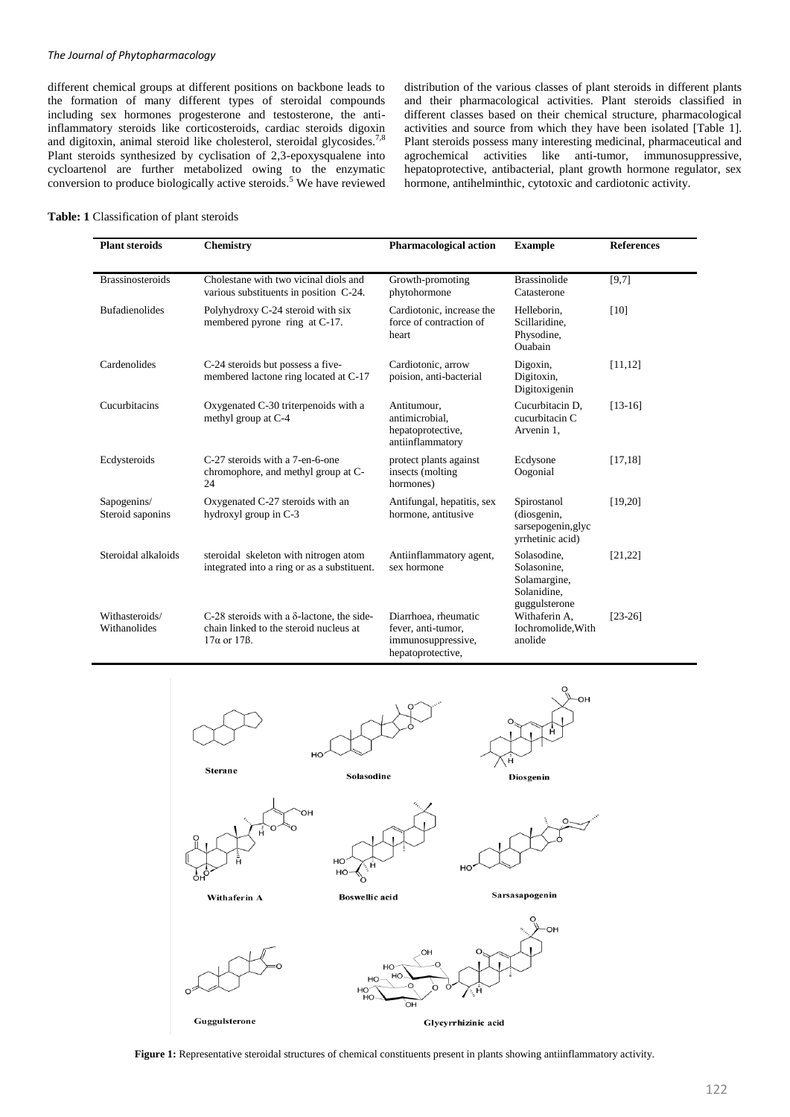### *The Journal of Phytopharmacology*

different chemical groups at different positions on backbone leads to the formation of many different types of steroidal compounds including sex hormones progesterone and testosterone, the antiinflammatory steroids like corticosteroids, cardiac steroids digoxin and digitoxin, animal steroid like cholesterol, steroidal glycosides.<sup>7,8</sup> Plant steroids synthesized by cyclisation of 2,3-epoxysqualene into cycloartenol are further metabolized owing to the enzymatic conversion to produce biologically active steroids.<sup>5</sup> We have reviewed distribution of the various classes of plant steroids in different plants and their pharmacological activities. Plant steroids classified in different classes based on their chemical structure, pharmacological activities and source from which they have been isolated [Table 1]. Plant steroids possess many interesting medicinal, pharmaceutical and agrochemical activities like anti-tumor, immunosuppressive, hepatoprotective, antibacterial, plant growth hormone regulator, sex hormone, antihelminthic, cytotoxic and cardiotonic activity.

#### **Table: 1** Classification of plant steroids

| <b>Plant steroids</b>           | <b>Chemistry</b>                                                                                                          | <b>Pharmacological action</b>                                                         | <b>Example</b>                                                       | <b>References</b> |
|---------------------------------|---------------------------------------------------------------------------------------------------------------------------|---------------------------------------------------------------------------------------|----------------------------------------------------------------------|-------------------|
| <b>Brassinosteroids</b>         | Cholestane with two vicinal diols and<br>various substituents in position C-24.                                           | Growth-promoting<br>phytohormone                                                      | <b>Brassinolide</b><br>Catasterone                                   | [9,7]             |
| <b>Bufadienolides</b>           | Polyhydroxy C-24 steroid with six<br>membered pyrone ring at C-17.                                                        | Cardiotonic, increase the<br>force of contraction of<br>heart                         | Helleborin,<br>Scillaridine,<br>Physodine,<br>Ouabain                | [10]              |
| Cardenolides                    | C-24 steroids but possess a five-<br>membered lactone ring located at C-17                                                | Cardiotonic, arrow<br>poision, anti-bacterial                                         | Digoxin,<br>Digitoxin,<br>Digitoxigenin                              | [11, 12]          |
| Cucurbitacins                   | Oxygenated C-30 triterpenoids with a<br>methyl group at C-4                                                               | Antitumour,<br>antimicrobial.<br>hepatoprotective,<br>antiinflammatory                | Cucurbitacin D,<br>cucurbitacin C<br>Arvenin 1,                      | $[13-16]$         |
| Ecdysteroids                    | C-27 steroids with a 7-en-6-one<br>chromophore, and methyl group at C-<br>24                                              | protect plants against<br>insects (molting)<br>hormones)                              | Ecdysone<br>Oogonial                                                 | [17, 18]          |
| Sapogenins/<br>Steroid saponins | Oxygenated C-27 steroids with an<br>hydroxyl group in C-3                                                                 | Antifungal, hepatitis, sex<br>hormone, antitusive                                     | Spirostanol<br>(diosgenin,<br>sarsepogenin, glyc<br>vrrhetinic acid) | [19, 20]          |
| Steroidal alkaloids             | steroidal skeleton with nitrogen atom<br>integrated into a ring or as a substituent.                                      | Antiinflammatory agent,<br>sex hormone                                                | Solasodine,<br>Solasonine,<br>Solamargine,<br>Solanidine,            | [21, 22]          |
| Withasteroids/<br>Withanolides  | C-28 steroids with a $\delta$ -lactone, the side-<br>chain linked to the steroid nucleus at<br>$17\alpha$ or 17 $\beta$ . | Diarrhoea, rheumatic<br>fever, anti-tumor,<br>immunosuppressive,<br>hepatoprotective, | guggulsterone<br>Withaferin A,<br>Iochromolide, With<br>anolide      | $[23-26]$         |



**Figure 1:** Representative steroidal structures of chemical constituents present in plants showing antiinflammatory activity.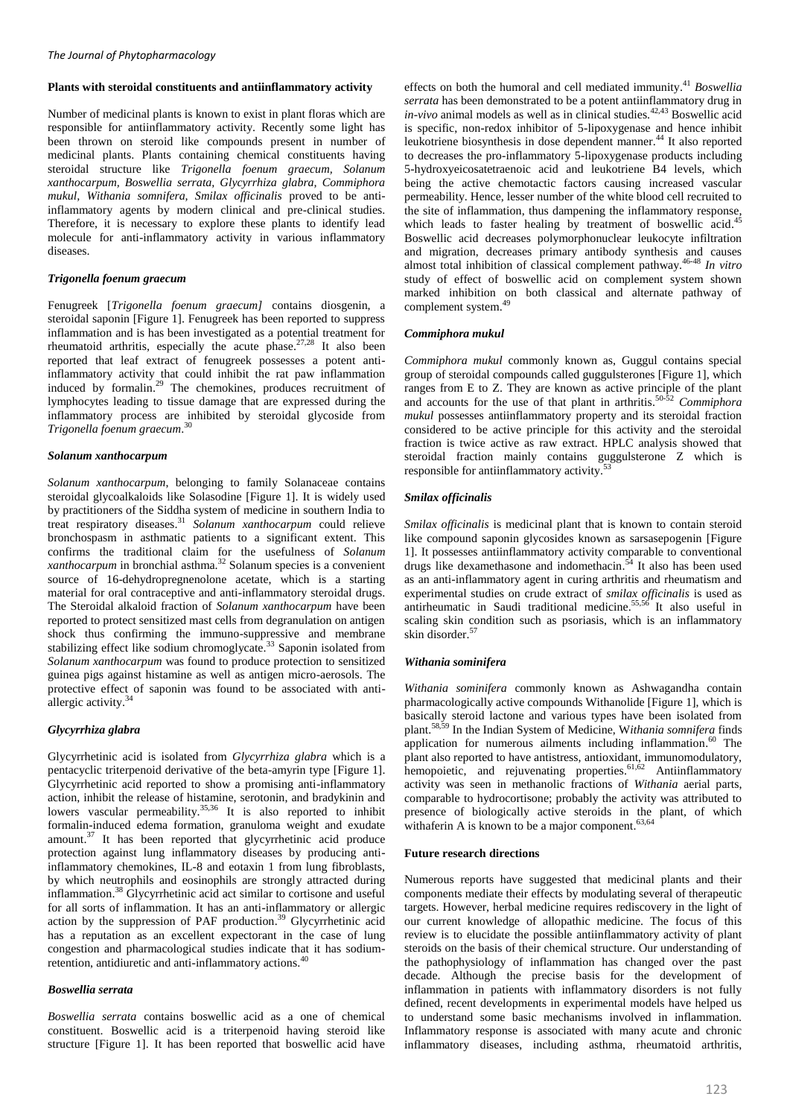#### **Plants with steroidal constituents and antiinflammatory activity**

Number of medicinal plants is known to exist in plant floras which are responsible for antiinflammatory activity. Recently some light has been thrown on steroid like compounds present in number of medicinal plants. Plants containing chemical constituents having steroidal structure like *Trigonella foenum graecum, Solanum xanthocarpum, Boswellia serrata, Glycyrrhiza glabra, Commiphora mukul, Withania somnifera, Smilax officinalis* proved to be antiinflammatory agents by modern clinical and pre-clinical studies. Therefore, it is necessary to explore these plants to identify lead molecule for anti-inflammatory activity in various inflammatory diseases.

#### *Trigonella foenum graecum*

Fenugreek [*Trigonella foenum graecum]* contains diosgenin, a steroidal saponin [Figure 1]. Fenugreek has been reported to suppress inflammation and is has been investigated as a potential treatment for rheumatoid arthritis, especially the acute phase. $27.28$  It also been reported that leaf extract of fenugreek possesses a potent antiinflammatory activity that could inhibit the rat paw inflammation induced by formalin.<sup>29</sup> The chemokines, produces recruitment of lymphocytes leading to tissue damage that are expressed during the inflammatory process are inhibited by steroidal glycoside from *Trigonella foenum graecum*. 30

#### *Solanum xanthocarpum*

*Solanum xanthocarpum*, belonging to family Solanaceae contains steroidal glycoalkaloids like Solasodine [Figure 1]. It is widely used by practitioners of the Siddha system of medicine in southern India to treat respiratory diseases. <sup>31</sup> *Solanum xanthocarpum* could relieve bronchospasm in asthmatic patients to a significant extent. This confirms the traditional claim for the usefulness of *Solanum xanthocarpum* in bronchial asthma. <sup>32</sup> Solanum species is a convenient source of 16-dehydropregnenolone acetate, which is a starting material for oral contraceptive and anti-inflammatory steroidal drugs. The Steroidal alkaloid fraction of *Solanum xanthocarpum* have been reported to protect sensitized mast cells from degranulation on antigen shock thus confirming the immuno-suppressive and membrane stabilizing effect like sodium chromoglycate.<sup>33</sup> Saponin isolated from *Solanum xanthocarpum* was found to produce protection to sensitized guinea pigs against histamine as well as antigen micro-aerosols. The protective effect of saponin was found to be associated with antiallergic activity.<sup>34</sup>

#### *Glycyrrhiza glabra*

Glycyrrhetinic acid is isolated from *Glycyrrhiza glabra* which is a pentacyclic triterpenoid derivative of the beta-amyrin type [Figure 1]. Glycyrrhetinic acid reported to show a promising anti-inflammatory action, inhibit the release of histamine, serotonin, and bradykinin and lowers vascular permeability.<sup>35,36</sup> It is also reported to inhibit formalin-induced edema formation, granuloma weight and exudate amount.<sup>37</sup> It has been reported that glycyrrhetinic acid produce protection against lung inflammatory diseases by producing antiinflammatory chemokines, IL-8 and eotaxin 1 from lung fibroblasts, by which neutrophils and eosinophils are strongly attracted during inflammation. <sup>38</sup> Glycyrrhetinic acid act similar to cortisone and useful for all sorts of inflammation. It has an anti-inflammatory or allergic action by the suppression of PAF production. <sup>39</sup> Glycyrrhetinic acid has a reputation as an excellent expectorant in the case of lung congestion and pharmacological studies indicate that it has sodiumretention, antidiuretic and anti-inflammatory actions. 40

#### *Boswellia serrata*

*Boswellia serrata* contains boswellic acid as a one of chemical constituent. Boswellic acid is a triterpenoid having steroid like structure [Figure 1]. It has been reported that boswellic acid have

effects on both the humoral and cell mediated immunity. <sup>41</sup> *Boswellia serrata* has been demonstrated to be a potent antiinflammatory drug in  $in-vivo$  animal models as well as in clinical studies.<sup>42,43</sup> Boswellic acid is specific, non-redox inhibitor of 5-lipoxygenase and hence inhibit leukotriene biosynthesis in dose dependent manner. <sup>44</sup> It also reported to decreases the pro-inflammatory 5-lipoxygenase products including 5-hydroxyeicosatetraenoic acid and leukotriene B4 levels, which being the active chemotactic factors causing increased vascular permeability. Hence, lesser number of the white blood cell recruited to the site of inflammation, thus dampening the inflammatory response, which leads to faster healing by treatment of boswellic acid.<sup>45</sup> Boswellic acid decreases polymorphonuclear leukocyte infiltration and migration, decreases primary antibody synthesis and causes almost total inhibition of classical complement pathway. 46-48 *In vitro* study of effect of boswellic acid on complement system shown marked inhibition on both classical and alternate pathway of complement system. 49

#### *Commiphora mukul*

*Commiphora mukul* commonly known as, Guggul contains special group of steroidal compounds called guggulsterones [Figure 1], which ranges from  $E$  to  $Z$ . They are known as active principle of the plant and accounts for the use of that plant in arthritis. 50-52 *Commiphora mukul* possesses antiinflammatory property and its steroidal fraction considered to be active principle for this activity and the steroidal fraction is twice active as raw extract. HPLC analysis showed that steroidal fraction mainly contains guggulsterone Z which is responsible for antiinflammatory activity.<sup>53</sup>

#### *Smilax officinalis*

*Smilax officinalis* is medicinal plant that is known to contain steroid like compound saponin glycosides known as sarsasepogenin [Figure 1]. It possesses antiinflammatory activity comparable to conventional drugs like dexamethasone and indomethacin. <sup>54</sup> It also has been used as an anti-inflammatory agent in curing arthritis and rheumatism and experimental studies on crude extract of *smilax officinalis* is used as antirheumatic in Saudi traditional medicine. 55,56 It also useful in scaling skin condition such as psoriasis, which is an inflammatory skin disorder. 57

#### *Withania sominifera*

*Withania sominifera* commonly known as Ashwagandha contain pharmacologically active compounds Withanolide [Figure 1], which is basically steroid lactone and various types have been isolated from plant. 58,59 In the Indian System of Medicine, W*ithania somnifera* finds application for numerous ailments including inflammation.<sup>60</sup> The plant also reported to have antistress, antioxidant, immunomodulatory, hemopoietic, and rejuvenating properties.<sup>61,62</sup> Antiinflammatory activity was seen in methanolic fractions of *Withania* aerial parts, comparable to hydrocortisone; probably the activity was attributed to presence of biologically active steroids in the plant, of which withaferin A is known to be a major component.<sup>63,64</sup>

#### **Future research directions**

Numerous reports have suggested that medicinal plants and their components mediate their effects by modulating several of therapeutic targets. However, herbal medicine requires rediscovery in the light of our current knowledge of allopathic medicine. The focus of this review is to elucidate the possible antiinflammatory activity of plant steroids on the basis of their chemical structure. Our understanding of the pathophysiology of inflammation has changed over the past decade. Although the precise basis for the development of inflammation in patients with inflammatory disorders is not fully defined, recent developments in experimental models have helped us to understand some basic mechanisms involved in inflammation. Inflammatory response is associated with many acute and chronic inflammatory diseases, including asthma, rheumatoid arthritis,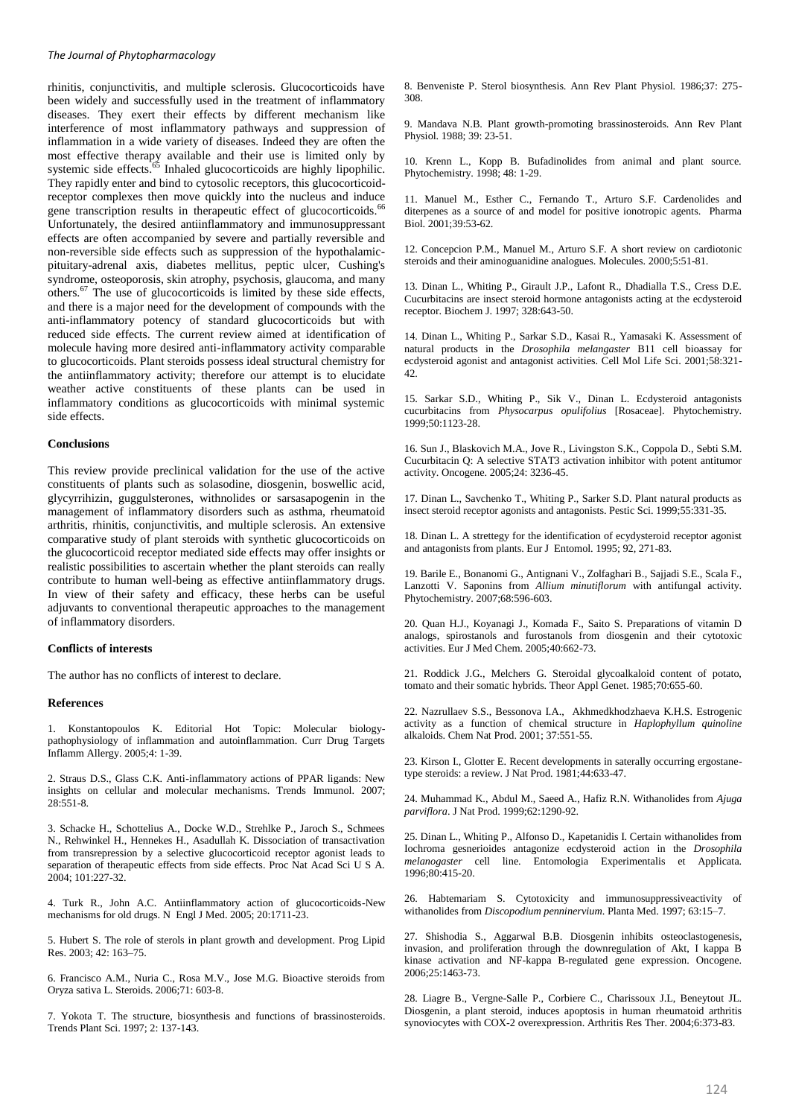rhinitis, conjunctivitis, and multiple sclerosis. Glucocorticoids have been widely and successfully used in the treatment of inflammatory diseases. They exert their effects by different mechanism like interference of most inflammatory pathways and suppression of inflammation in a wide variety of diseases. Indeed they are often the most effective therapy available and their use is limited only by systemic side effects.<sup>65</sup> Inhaled glucocorticoids are highly lipophilic. They rapidly enter and bind to cytosolic receptors, this glucocorticoidreceptor complexes then move quickly into the nucleus and induce gene transcription results in therapeutic effect of glucocorticoids.<sup>66</sup> Unfortunately, the desired antiinflammatory and immunosuppressant effects are often accompanied by severe and partially reversible and non-reversible side effects such as suppression of the hypothalamicpituitary-adrenal axis, diabetes mellitus, peptic ulcer, Cushing's syndrome, osteoporosis, skin atrophy, psychosis, glaucoma, and many others.<sup>67</sup> The use of glucocorticoids is limited by these side effects, and there is a major need for the development of compounds with the anti-inflammatory potency of standard glucocorticoids but with reduced side effects. The current review aimed at identification of molecule having more desired anti-inflammatory activity comparable to glucocorticoids. Plant steroids possess ideal structural chemistry for the antiinflammatory activity; therefore our attempt is to elucidate weather active constituents of these plants can be used in inflammatory conditions as glucocorticoids with minimal systemic side effects.

#### **Conclusions**

This review provide preclinical validation for the use of the active constituents of plants such as solasodine, diosgenin, boswellic acid, glycyrrihizin, guggulsterones, withnolides or sarsasapogenin in the management of inflammatory disorders such as asthma, rheumatoid arthritis, rhinitis, conjunctivitis, and multiple sclerosis. An extensive comparative study of plant steroids with synthetic glucocorticoids on the glucocorticoid receptor mediated side effects may offer insights or realistic possibilities to ascertain whether the plant steroids can really contribute to human well-being as effective antiinflammatory drugs. In view of their safety and efficacy, these herbs can be useful adjuvants to conventional therapeutic approaches to the management of inflammatory disorders.

### **Conflicts of interests**

The author has no conflicts of interest to declare.

#### **References**

1. Konstantopoulos K. Editorial Hot Topic: Molecular biologypathophysiology of inflammation and autoinflammation. Curr Drug Targets Inflamm Allergy. 2005;4: 1-39.

2. Straus D.S., Glass C.K. Anti-inflammatory actions of PPAR ligands: New insights on cellular and molecular mechanisms. Trends Immunol. 2007; 28:551-8.

3. Schacke H., Schottelius A., Docke W.D., Strehlke P., Jaroch S., Schmees N., Rehwinkel H., Hennekes H., Asadullah K. Dissociation of transactivation from transrepression by a selective glucocorticoid receptor agonist leads to separation of therapeutic effects from side effects. Proc Nat Acad Sci U S A. 2004; 101:227-32.

4. Turk R., John A.C. Antiinflammatory action of glucocorticoids-New mechanisms for old drugs. N Engl J Med. 2005; 20:1711-23.

5. Hubert S. The role of sterols in plant growth and development. Prog Lipid Res. 2003; 42: 163–75.

6. Francisco A.M., Nuria C., Rosa M.V., Jose M.G. Bioactive steroids from Oryza sativa L. Steroids. 2006;71: 603-8.

7. Yokota T. The structure, biosynthesis and functions of brassinosteroids. Trends Plant Sci. 1997; 2: 137-143.

8. Benveniste P. Sterol biosynthesis. Ann Rev Plant Physiol. 1986;37: 275- 308.

9. Mandava N.B. Plant growth-promoting brassinosteroids. Ann Rev Plant Physiol. 1988; 39: 23-51.

10. Krenn L., Kopp B. Bufadinolides from animal and plant source. Phytochemistry. 1998; 48: 1-29.

11. Manuel M., Esther C., Fernando T., Arturo S.F. Cardenolides and diterpenes as a source of and model for positive ionotropic agents. Pharma Biol. 2001;39:53-62.

12. Concepcion P.M., Manuel M., Arturo S.F. A short review on cardiotonic steroids and their aminoguanidine analogues. Molecules. 2000;5:51-81.

13. Dinan L., Whiting P., Girault J.P., Lafont R., Dhadialla T.S., Cress D.E. Cucurbitacins are insect steroid hormone antagonists acting at the ecdysteroid receptor. Biochem J. 1997; 328:643-50.

14. Dinan L., Whiting P., Sarkar S.D., Kasai R., Yamasaki K. Assessment of natural products in the *Drosophila melangaster* B11 cell bioassay for ecdysteroid agonist and antagonist activities. Cell Mol Life Sci. 2001;58:321- 42.

15. Sarkar S.D., Whiting P., Sik V., Dinan L. Ecdysteroid antagonists cucurbitacins from *Physocarpus opulifolius* [Rosaceae]. Phytochemistry. 1999;50:1123-28.

16. Sun J., Blaskovich M.A., Jove R., Livingston S.K., Coppola D., Sebti S.M. Cucurbitacin Q: A selective STAT3 activation inhibitor with potent antitumor activity. Oncogene. 2005;24: 3236-45.

17. Dinan L., Savchenko T., Whiting P., Sarker S.D. Plant natural products as insect steroid receptor agonists and antagonists. Pestic Sci. 1999;55:331-35.

18. Dinan L. A strettegy for the identification of ecydysteroid receptor agonist and antagonists from plants. Eur J Entomol. 1995; 92, 271-83.

19. Barile E., Bonanomi G., Antignani V., Zolfaghari B., Sajjadi S.E., Scala F., Lanzotti V. Saponins from *Allium minutiflorum* with antifungal activity. Phytochemistry. 2007;68:596-603.

20. Quan H.J., Koyanagi J., Komada F., Saito S. Preparations of vitamin D analogs, spirostanols and furostanols from diosgenin and their cytotoxic activities. Eur J Med Chem. 2005;40:662-73.

21. Roddick J.G., Melchers G. Steroidal glycoalkaloid content of potato, tomato and their somatic hybrids. Theor Appl Genet. 1985;70:655-60.

22. Nazrullaev S.S., Bessonova I.A., Akhmedkhodzhaeva K.H.S. Estrogenic activity as a function of chemical structure in *Haplophyllum quinoline* alkaloids. Chem Nat Prod. 2001; 37:551-55.

23. Kirson I., Glotter E. Recent developments in saterally occurring ergostanetype steroids: a review. J Nat Prod. 1981;44:633-47.

24. Muhammad K., Abdul M., Saeed A., Hafiz R.N. Withanolides from *Ajuga parviflora*. J Nat Prod. 1999;62:1290-92.

25. Dinan L., Whiting P., Alfonso D., Kapetanidis I. Certain withanolides from Iochroma gesnerioides antagonize ecdysteroid action in the *Drosophila melanogaster* cell line. Entomologia Experimentalis et Applicata. 1996;80:415-20.

26. Habtemariam S. Cytotoxicity and immunosuppressiveactivity of withanolides from *Discopodium penninervium*. Planta Med. 1997; 63:15–7.

27. Shishodia S., Aggarwal B.B. Diosgenin inhibits osteoclastogenesis, invasion, and proliferation through the downregulation of Akt, I kappa B kinase activation and NF-kappa B-regulated gene expression. Oncogene. 2006;25:1463-73.

28. Liagre B., Vergne-Salle P., Corbiere C., Charissoux J.L, Beneytout JL. Diosgenin, a plant steroid, induces apoptosis in human rheumatoid arthritis synoviocytes with COX-2 overexpression. Arthritis Res Ther. 2004;6:373-83.